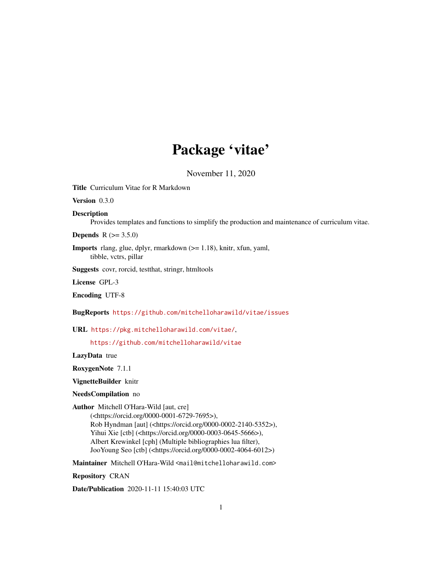# Package 'vitae'

November 11, 2020

<span id="page-0-0"></span>Title Curriculum Vitae for R Markdown

Version 0.3.0

Description

Provides templates and functions to simplify the production and maintenance of curriculum vitae.

**Depends** R  $(>= 3.5.0)$ 

Imports rlang, glue, dplyr, rmarkdown (>= 1.18), knitr, xfun, yaml, tibble, vctrs, pillar

Suggests covr, rorcid, testthat, stringr, htmltools

License GPL-3

Encoding UTF-8

BugReports <https://github.com/mitchelloharawild/vitae/issues>

URL <https://pkg.mitchelloharawild.com/vitae/>,

<https://github.com/mitchelloharawild/vitae>

LazyData true

RoxygenNote 7.1.1

VignetteBuilder knitr

NeedsCompilation no

Author Mitchell O'Hara-Wild [aut, cre]

(<https://orcid.org/0000-0001-6729-7695>), Rob Hyndman [aut] (<https://orcid.org/0000-0002-2140-5352>), Yihui Xie [ctb] (<https://orcid.org/0000-0003-0645-5666>), Albert Krewinkel [cph] (Multiple bibliographies lua filter), JooYoung Seo [ctb] (<https://orcid.org/0000-0002-4064-6012>)

Maintainer Mitchell O'Hara-Wild <mail@mitchelloharawild.com>

Repository CRAN

Date/Publication 2020-11-11 15:40:03 UTC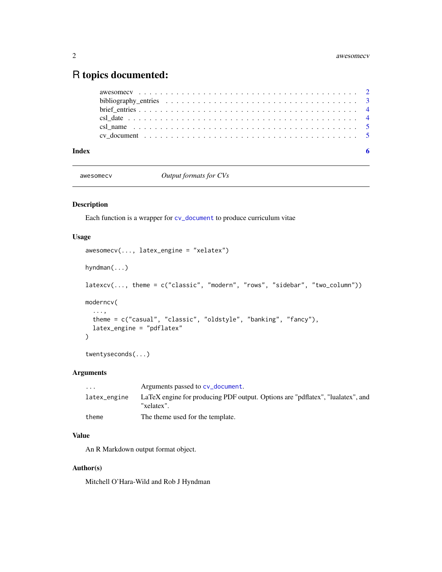# <span id="page-1-0"></span>R topics documented:

# **Index** [6](#page-5-0) **6**

awesomecv *Output formats for CVs*

# Description

Each function is a wrapper for [cv\\_document](#page-4-1) to produce curriculum vitae

# Usage

```
awesomecv(..., latex_engine = "xelatex")
hyndman(...)
latexcv(..., theme = c("classic", "modern", "rows", "sidebar", "two_column"))
moderncv(
  ...,
 theme = c("casual", "classic", "oldstyle", "banking", "fancy"),
 latex_engine = "pdflatex"
)
```
twentyseconds(...)

# Arguments

| $\cdot$ $\cdot$ $\cdot$ | Arguments passed to cv_document.                                                             |
|-------------------------|----------------------------------------------------------------------------------------------|
| latex_engine            | LaTeX engine for producing PDF output. Options are "pdflatex", "lualatex", and<br>"xelatex". |
| theme                   | The theme used for the template.                                                             |

# Value

An R Markdown output format object.

# Author(s)

Mitchell O'Hara-Wild and Rob J Hyndman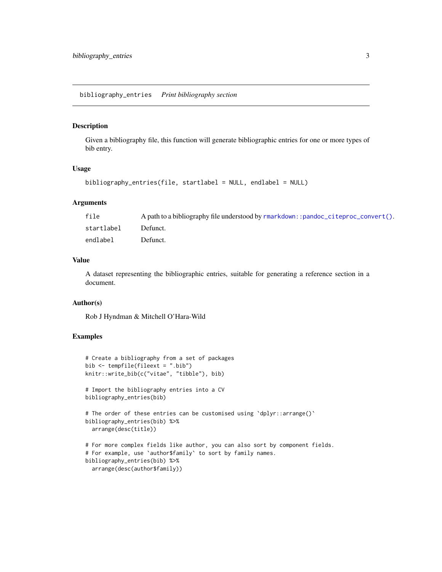#### <span id="page-2-0"></span>Description

Given a bibliography file, this function will generate bibliographic entries for one or more types of bib entry.

# Usage

```
bibliography_entries(file, startlabel = NULL, endlabel = NULL)
```
# Arguments

| file       | A path to a bibliography file understood by $r$ markdown::pandoc_citeproc_convert(). |
|------------|--------------------------------------------------------------------------------------|
| startlabel | Defunct.                                                                             |
| endlabel   | Defunct.                                                                             |

# Value

A dataset representing the bibliographic entries, suitable for generating a reference section in a document.

# Author(s)

Rob J Hyndman & Mitchell O'Hara-Wild

# Examples

```
# Create a bibliography from a set of packages
bib <- tempfile(fileext = ".bib")
knitr::write_bib(c("vitae", "tibble"), bib)
# Import the bibliography entries into a CV
bibliography_entries(bib)
# The order of these entries can be customised using 'dplyr::arrange()'
bibliography_entries(bib) %>%
  arrange(desc(title))
# For more complex fields like author, you can also sort by component fields.
# For example, use `author$family` to sort by family names.
bibliography_entries(bib) %>%
  arrange(desc(author$family))
```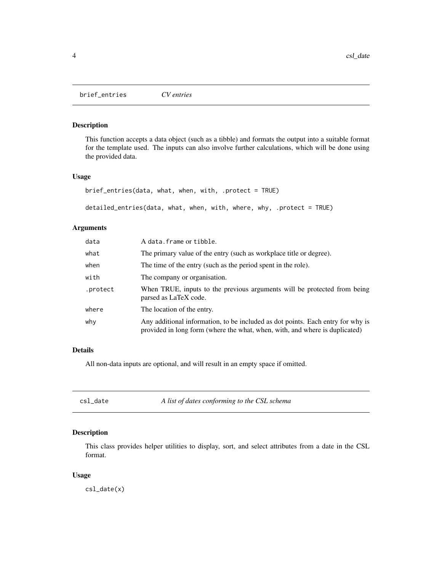<span id="page-3-0"></span>brief\_entries *CV entries*

# Description

This function accepts a data object (such as a tibble) and formats the output into a suitable format for the template used. The inputs can also involve further calculations, which will be done using the provided data.

# Usage

```
brief_entries(data, what, when, with, .protect = TRUE)
```

```
detailed_entries(data, what, when, with, where, why, .protect = TRUE)
```
# Arguments

| data     | A data. frame or tibble.                                                                                                                                       |
|----------|----------------------------------------------------------------------------------------------------------------------------------------------------------------|
| what     | The primary value of the entry (such as workplace title or degree).                                                                                            |
| when     | The time of the entry (such as the period spent in the role).                                                                                                  |
| with     | The company or organisation.                                                                                                                                   |
| .protect | When TRUE, inputs to the previous arguments will be protected from being<br>parsed as LaTeX code.                                                              |
| where    | The location of the entry.                                                                                                                                     |
| why      | Any additional information, to be included as dot points. Each entry for why is<br>provided in long form (where the what, when, with, and where is duplicated) |

# Details

All non-data inputs are optional, and will result in an empty space if omitted.

| csl |  | date |  |
|-----|--|------|--|
|     |  |      |  |
|     |  |      |  |

A list of dates conforming to the CSL schema

# Description

This class provides helper utilities to display, sort, and select attributes from a date in the CSL format.

#### Usage

csl\_date(x)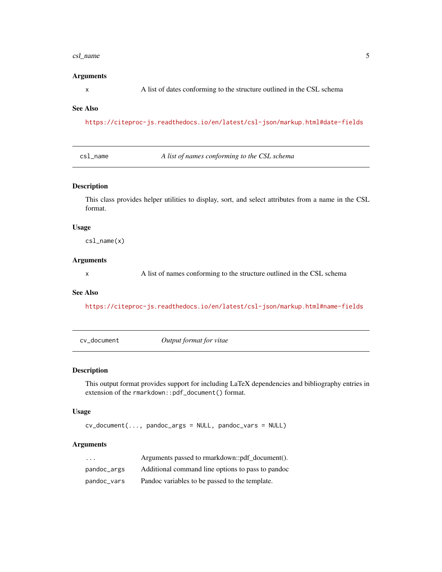#### <span id="page-4-0"></span>csl\_name 5

#### Arguments

x A list of dates conforming to the structure outlined in the CSL schema

#### See Also

<https://citeproc-js.readthedocs.io/en/latest/csl-json/markup.html#date-fields>

csl\_name *A list of names conforming to the CSL schema*

# Description

This class provides helper utilities to display, sort, and select attributes from a name in the CSL format.

# Usage

csl\_name(x)

#### Arguments

x A list of names conforming to the structure outlined in the CSL schema

# See Also

<https://citeproc-js.readthedocs.io/en/latest/csl-json/markup.html#name-fields>

<span id="page-4-1"></span>cv\_document *Output format for vitae*

# Description

This output format provides support for including LaTeX dependencies and bibliography entries in extension of the rmarkdown::pdf\_document() format.

#### Usage

cv\_document(..., pandoc\_args = NULL, pandoc\_vars = NULL)

# Arguments

| .           | Arguments passed to rmarkdown::pdf document().    |
|-------------|---------------------------------------------------|
| pandoc_args | Additional command line options to pass to pandoc |
| pandoc_vars | Pandoc variables to be passed to the template.    |